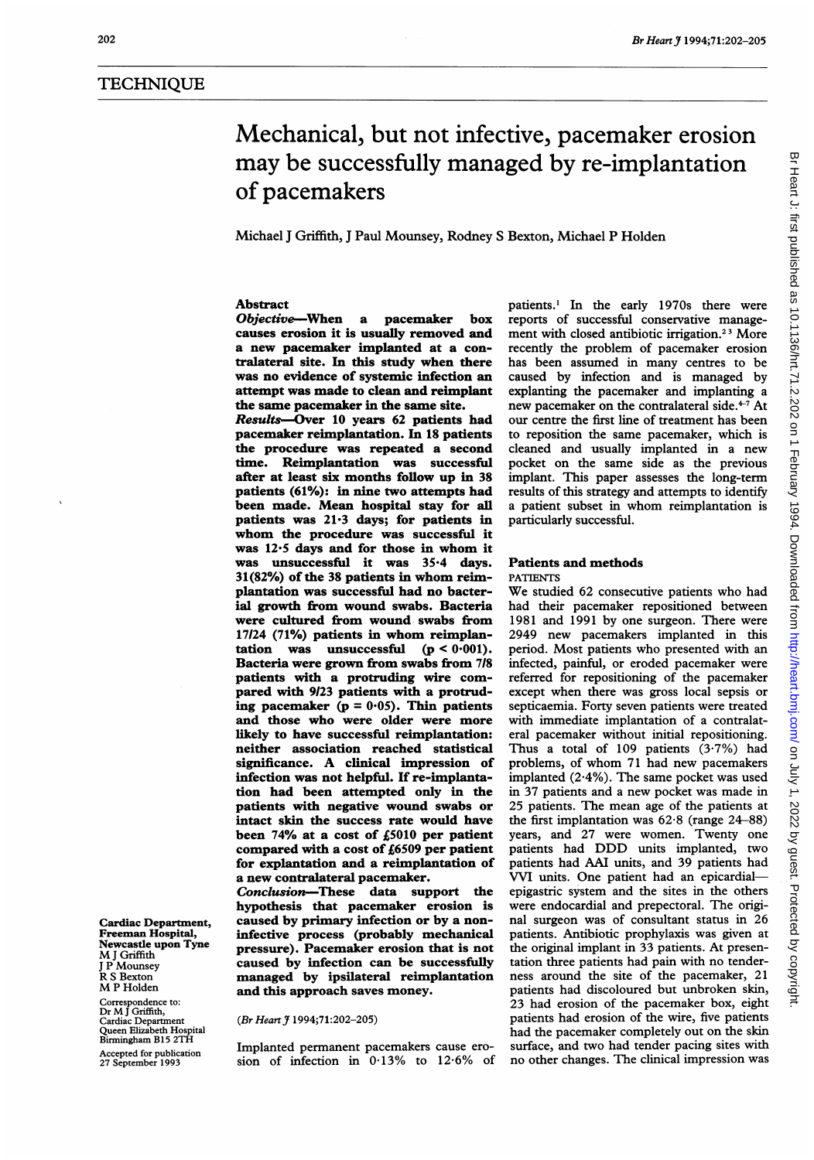# **TECHNIQUE**

# Mechanical, but not infective, pacemaker erosion may be successfully managed by re-implantation of pacemakers

Michael <sup>J</sup> Griffith, <sup>J</sup> Paul Mounsey, Rodney S Bexton, Michael P Holden

# Abstract

Objective-When a pacemaker box causes erosion it is usually removed and a new pacemaker implanted at a contralateral site. In this study when there was no evidence of systemic infection an attempt was made to clean and reimplant the same pacemaker in the same site.

Results-Over 10 years 62 patients had pacemaker reimplantation. In 18 patients the procedure was repeated a second time. Reimplantation was successful after at least six months follow up in 38 patients (61%): in nine two attempts had been made. Mean hospital stay for all patients was 21-3 days; for patients in whom the procedure was successful it was 12.5 days and for those in whom it was unsuccessful it was 35-4 days. 31(82%) of the <sup>38</sup> patients in whom reimplantation was successful had no bacterial growth from wound swabs. Bacteria were cultured from wound swabs from 17/24 (71%) patients in whom reimplantation was unsuccessful ( $p < 0.001$ ). was unsuccessful  $(p < 0.001)$ . Bacteria were grown from swabs from <sup>718</sup> patients with a protruding wire compared with 9123 patients with a protruding pacemaker ( $p = 0.05$ ). Thin patients and those who were older were more likely to have successful reimplantation: neither association reached statistical significance. A clinical impression of infection was not helpful. If re-implantation had been attempted only in the patients with negative wound swabs or intact skin the success rate would have been 74% at a cost of £5010 per patient compared with a cost of £6509 per patient for explantation and a reimplantation of a new contralateral pacemaker.

Conclusion-These data support the hypothesis that pacemaker erosion is Cardiac Department, caused by primary infection or by a non-<br>Freeman Hospital, infective process (probably mechanical Freeman Hospital, infective process (probably mechanical<br>Newcastle upon Tyne (negative) December aposian that is not Newcastle upon Tyne pressure). Pacemaker erosion that is not<br>MJ Griffith I P Mounsey<br>
J P Mounsey **caused by infection can be successfully**<br>
R S Bexton **managed by ipsilateral reimplantation** R S Bexton **managed by ipsilateral reimplantation**<br>M P Holden and this annoach saves money. and this approach saves money.

# (Br Heart J 1994;71:202-205)

Birmingham B13 21H<br>Accepted for publication limplanted permanent pacemakers cause ero-<br>27 September 1993 sion of infection in 0.13% to 12.6% of

patients.' In the early 1970s there were reports of successful conservative management with closed antibiotic irrigation.<sup>23</sup> More recently the problem of pacemaker erosion has been assumed in many centres to be caused by infection and is managed by explanting the pacemaker and implanting a new pacemaker on the contralateral side.<sup>4-7</sup> At our centre the first line of treatment has been to reposition the same pacemaker, which is cleaned and usually implanted in a new pocket on the same side as the previous implant. This paper assesses the long-term results of this strategy and attempts to identify <sup>a</sup> patient subset in whom reimplantation is particularly successful.

# Patients and methods

# PATIENTS

We studied <sup>62</sup> consecutive patients who had had their pacemaker repositioned between 1981 and 1991 by one surgeon. There were 2949 new pacemakers implanted in this period. Most patients who presented with an infected, painful, or eroded pacemaker were referred for repositioning of the pacemaker except when there was gross local sepsis or septicaemia. Forty seven patients were treated with immediate implantation of a contralateral pacemaker without initial repositioning. Thus a total of 109 patients (3.7%) had problems, of whom <sup>71</sup> had new pacemakers implanted (2.4%). The same pocket was used in 37 patients and a new pocket was made in 25 patients. The mean age of the patients at the first implantation was  $62.8$  (range  $24-88$ ) years, and 27 were women. Twenty one patients had DDD units implanted, two patients had AAI units, and 39 patients had VVI units. One patient had an epicardialepigastric system and the sites in the others were endocardial and prepectoral. The original surgeon was of consultant status in 26 patients. Antibiotic prophylaxis was given at the original implant in 33 patients. At presentation three patients had pain with no tenderness around the site of the pacemaker, 21 patients had discoloured but unbroken skin, 23 had erosion of the pacemaker box, eight patients had erosion of the wire, five patients had the pacemaker completely out on the skin surface, and two had tender pacing sites with no other changes. The clinical impression was

Correspondence to: Dr M<sup>J</sup> Griffith, Queen Elizabeth Hospital Birmingham B15 2TH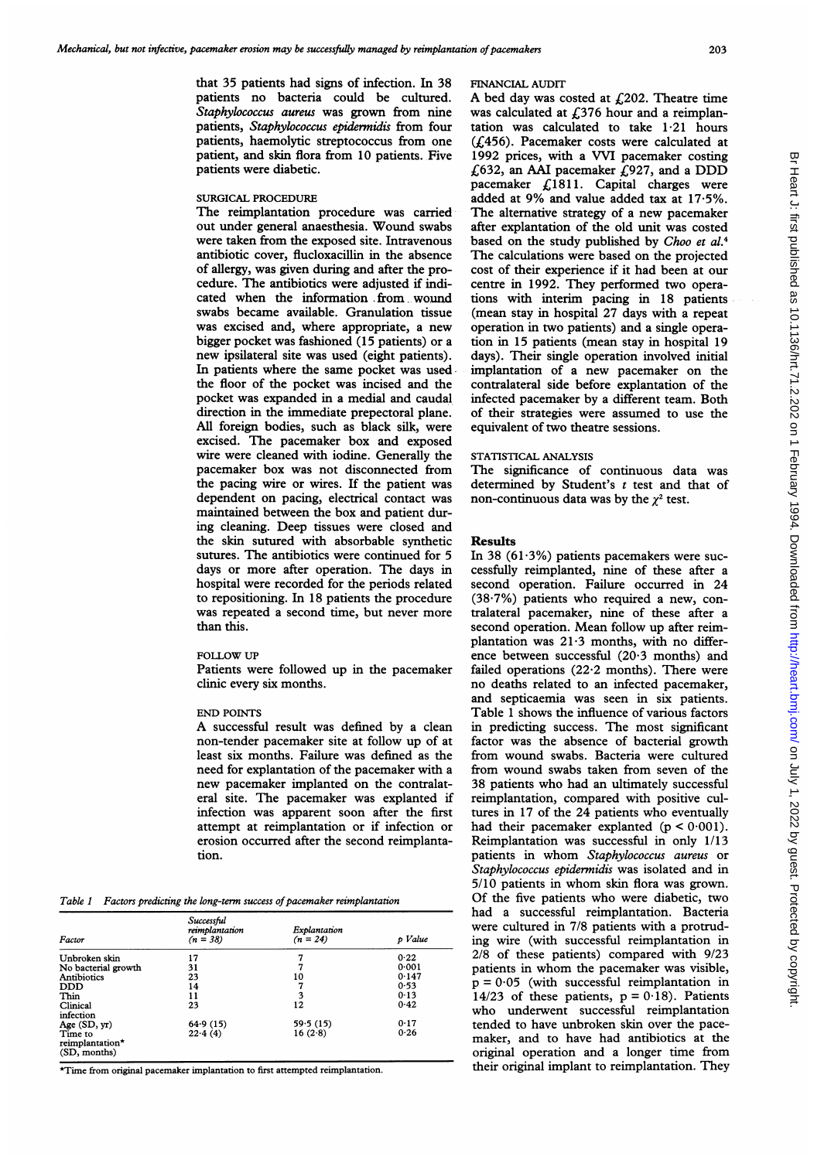that 35 patients had signs of infection. In 38 patients no bacteria could be cultured. Staphylococcus aureus was grown from nine patients, Staphylococcus epidernidis from four patients, haemolytic streptococcus from one patient, and skin flora from 10 patients. Five patients were diabetic.

## SURGICAL PROCEDURE

The reimplantation procedure was carried out under general anaesthesia. Wound swabs were taken from the exposed site. Intravenous antibiotic cover, flucloxacillin in the absence of allergy, was given during and after the procedure. The antibiotics were adjusted if indicated when the information from wound swabs became available. Granulation tissue was excised and, where appropriate, a new bigger pocket was fashioned (15 patients) or a new ipsilateral site was used (eight patients). In patients where the same pocket was used the floor of the pocket was incised and the pocket was expanded in a medial and caudal direction in the immediate prepectoral plane. All foreign bodies, such as black silk, were excised. The pacemaker box and exposed wire were cleaned with iodine. Generally the pacemaker box was not disconnected from the pacing wire or wires. If the patient was dependent on pacing, electrical contact was maintained between the box and patient during cleaning. Deep tissues were closed and the skin sutured with absorbable synthetic sutures. The antibiotics were continued for 5 days or more after operation. The days in hospital were recorded for the periods related to repositioning. In 18 patients the procedure was repeated a second time, but never more than this.

#### FOLLOW UP

Patients were followed up in the pacemaker clinic every six months.

## END POINTS

A successful result was defined by <sup>a</sup> clean non-tender pacemaker site at follow up of at least six months. Failure was defined as the need for explantation of the pacemaker with a new pacemaker implanted on the contralateral site. The pacemaker was explanted if infection was apparent soon after the first attempt at reimplantation or if infection or erosion occurred after the second reimplantation.

Table 1 Factors predicting the long-term success of pacemaker reimplantation

| Factor                                     | Successful<br>reimplantation<br>$(n = 38)$ | Explantation<br>$(n = 24)$ | p Value |
|--------------------------------------------|--------------------------------------------|----------------------------|---------|
| Unbroken skin                              | 17                                         |                            | 0.22    |
| No bacterial growth                        | 31                                         | 7                          | 0.001   |
| <b>Antibiotics</b>                         | 23                                         | 10                         | 0.147   |
| <b>DDD</b>                                 | 14                                         | 7                          | 0.53    |
| Thin                                       | 11                                         | 3                          | 0.13    |
| Clinical<br>infection                      | 23                                         | 12                         | 0.42    |
| Age (SD, yr)                               | 64.9(15)                                   | 59.5(15)                   | 0.17    |
| Time to<br>reimplantation*<br>(SD, months) | 22.4(4)                                    | 16(2.8)                    | 0.26    |

\*Time from original pacemaker implantation to first attempted reimplantation.

# FINANCIAL AUDIT

A bed day was costed at  $f(202)$ . Theatre time was calculated at £376 hour and a reimplantation was calculated to take  $1.21$  hours (£456). Pacemaker costs were calculated at 1992 prices, with a VVI pacemaker costing  $£632$ , an AAI pacemaker  $£927$ , and a DDD pacemaker  $£1811.$  Capital charges were added at 9% and value added tax at 17-5%. The alternative strategy of <sup>a</sup> new pacemaker after explantation of the old unit was costed based on the study published by Choo et al.<sup>4</sup> The calculations were based on the projected cost of their experience if it had been at our centre in 1992. They performed two operations with interim pacing in 18 patients (mean stay in hospital 27 days with a repeat operation in two patients) and a single operation in 15 patients (mean stay in hospital 19 days). Their single operation involved initial implantation of a new pacemaker on the contralateral side before explantation of the infected pacemaker by a different team. Both of their strategies were assumed to use the equivalent of two theatre sessions.

# STATISTICAL ANALYSIS

The significance of continuous data was determined by Student's  $t$  test and that of non-continuous data was by the  $\chi^2$  test.

## Results

In 38  $(61.3%)$  patients pacemakers were successfully reimplanted, nine of these after <sup>a</sup> second operation. Failure occurred in 24  $(38.7%)$  patients who required a new, contralateral pacemaker, nine of these after a second operation. Mean follow up after reimplantation was 21-3 months, with no difference between successful (20-3 months) and failed operations (22-2 months). There were no deaths related to an infected pacemaker, and septicaemia was seen in six patients. Table <sup>1</sup> shows the influence of various factors in predicting success. The most significant factor was the absence of bacterial growth from wound swabs. Bacteria were cultured from wound swabs taken from seven of the 38 patients who had an ultimately successful reimplantation, compared with positive cultures in 17 of the 24 patients who eventually had their pacemaker explanted  $(p < 0.001)$ . Reimplantation was successful in only 1/13 patients in whom Staphylococcus aureus or Staphylococcus epidermidis was isolated and in 5/10 patients in whom skin flora was grown. Of the five patients who were diabetic, two had a successful reimplantation. Bacteria were cultured in 7/8 patients with a protruding wire (with successful reimplantation in 2/8 of these patients) compared with 9/23 patients in whom the pacemaker was visible,  $p = 0.05$  (with successful reimplantation in 14/23 of these patients,  $p = 0.18$ ). Patients who underwent successful reimplantation tended to have unbroken skin over the pacemaker, and to have had antibiotics at the original operation and a longer time from their original implant to reimplantation. They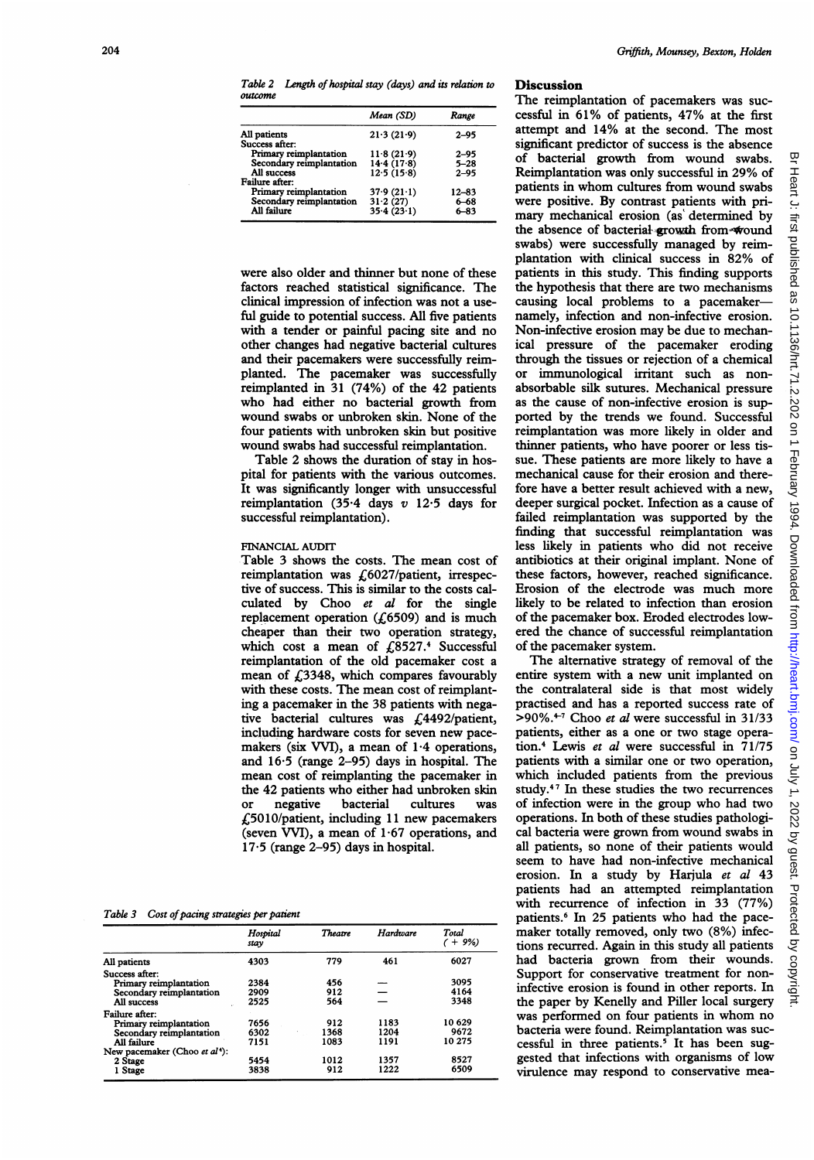Table 2 Length of hospital stay (days) and its relation to outcome

| 21.3(21.9) | $2 - 95$                                           |
|------------|----------------------------------------------------|
|            | $2 - 95$                                           |
| 14.4(17.8) | $5 - 28$                                           |
| 12.5(15.8) | $2 - 95$                                           |
|            |                                                    |
|            | 12–83                                              |
|            | $6 - 68$                                           |
|            | 6-83                                               |
|            | 11.8(21.9)<br>37.9(21.1)<br>31.2(27)<br>35.4(23.1) |

were also older and thinner but none of these factors reached statistical significance. The clinical impression of infection was not a useful guide to potential success. All five patients with a tender or painful pacing site and no other changes had negative bacterial cultures and their pacemakers were successfully reimplanted. The pacemaker was successfully reimplanted in 31 (74%) of the 42 patients who had either no bacterial growth from wound swabs or unbroken skin. None of the four patients with unbroken skin but positive wound swabs had successful reimplantation.

Table 2 shows the duration of stay in hospital for patients with the various outcomes. It was significantly longer with unsuccessful reimplantation (35.4 days  $v$  12.5 days for successful reimplantation).

# FINANCIAL AUDIT

Table 3 shows the costs. The mean cost of reimplantation was £6027/patient, irrespective of success. This is similar to the costs calculated by Choo et al for the single replacement operation ( $\zeta$ 6509) and is much cheaper than their two operation strategy, which cost a mean of  $\widehat{E}$ 8527.<sup>4</sup> Successful reimplantation of the old pacemaker cost a mean of  $£3348$ , which compares favourably with these costs. The mean cost of reimplanting a pacemaker in the 38 patients with negative bacterial cultures was £4492/patient, including hardware costs for seven new pacemakers (six VVI), a mean of 1-4 operations, and 16-5 (range 2-95) days in hospital. The mean cost of reimplanting the pacemaker in the 42 patients who either had unbroken skin<br>or segative bacterial cultures was or negative bacterial cultures was £5010/patient, including <sup>11</sup> new pacemakers (seven VVI), a mean of  $1.67$  operations, and  $17.5$  (range 2-95) days in hospital.

Table 3 Cost of pacing strategies per patient

|                              | Hospital<br>stay | <b>Theatre</b> | Hardware | Total<br>$+9%$ |
|------------------------------|------------------|----------------|----------|----------------|
| All patients                 | 4303             | 779            | 461      | 6027           |
| Success after:               |                  |                |          |                |
| Primary reimplantation       | 2384             | 456            |          | 3095           |
| Secondary reimplantation     | 2909             | 912            |          | 4164           |
| All success                  | 2525             | 564            |          | 3348           |
| Failure after:               |                  |                |          |                |
| Primary reimplantation       | 7656             | 912            | 1183     | 10 629         |
| Secondary reimplantation     | 6302             | 1368           | 1204     | 9672           |
| All failure                  | 7151             | 1083           | 1191     | 10 275         |
| New pacemaker (Choo et al*): |                  |                |          |                |
| 2 Stage                      | 5454             | 1012           | 1357     | 8527           |
| 1 Stage                      | 3838             | 912            | 1222     | 6509           |

# **Discussion**

The reimplantation of pacemakers was successful in 61% of patients, 47% at the first attempt and 14% at the second. The most significant predictor of success is the absence of bacterial growth from wound swabs. Reimplantation was only successful in 29% of patients in whom cultures from wound swabs were positive. By contrast patients with primary mechanical erosion (as determined by the absence of bacterial growth from wound swabs) were successfully managed by reimplantation with clinical success in 82% of patients in this study. This finding supports the hypothesis that there are two mechanisms causing local problems to a pacemakernamely, infection and non-infective erosion. Non-infective erosion may be due to mechanical pressure of the pacemaker eroding through the tissues or rejection of a chemical or immunological irritant such as nonabsorbable silk sutures. Mechanical pressure as the cause of non-infective erosion is supported by the trends we found. Successful reimplantation was more likely in older and thinner patients, who have poorer or less tissue. These patients are more likely to have a mechanical cause for their erosion and therefore have a better result achieved with a new, deeper surgical pocket. Infection as a cause of failed reimplantation was supported by the finding that successful reimplantation was less likely in patients who did not receive antibiotics at their original implant. None of these factors, however, reached significance. Erosion of the electrode was much more likely to be related to infection than erosion of the pacemaker box. Eroded electrodes lowered the chance of successful reimplantation of the pacemaker system.

The alternative strategy of removal of the entire system with a new unit implanted on the contralateral side is that most widely practised and has a reported success rate of  $>90\%$ .<sup>4-7</sup> Choo et al were successful in 31/33 patients, either as a one or two stage operation.4 Lewis et al were successful in 71/75 patients with a similar one or two operation, which included patients from the previous study.47 In these studies the two recurrences of infection were in the group who had two operations. In both of these studies pathological bacteria were grown from wound swabs in all patients, so none of their patients would seem to have had non-infective mechanical erosion. In a study by Harjula et al 43 patients had an attempted reimplantation with recurrence of infection in 33 (77%) patients.6 In 25 patients who had the pacemaker totally removed, only two (8%) infections recurred. Again in this study all patients had bacteria grown from their wounds. Support for conservative treatment for noninfective erosion is found in other reports. In the paper by Kenelly and Piller local surgery was performed on four patients in whom no bacteria were found. Reimplantation was successful in three patients.<sup>5</sup> It has been suggested that infections with organisms of low virulence may respond to conservative mea